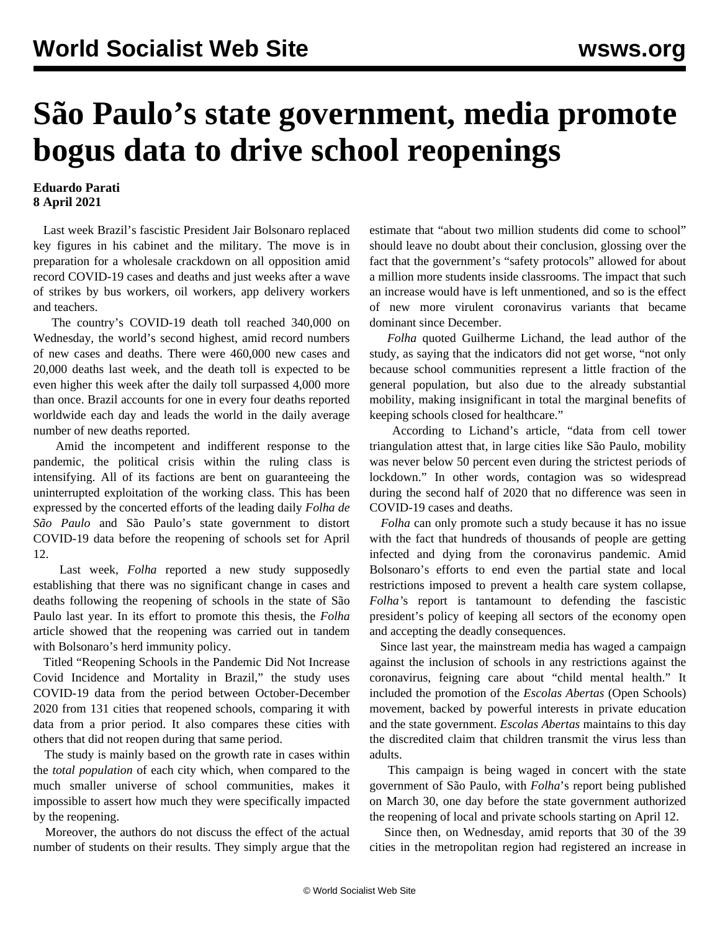## **São Paulo's state government, media promote bogus data to drive school reopenings**

## **Eduardo Parati 8 April 2021**

 Last week Brazil's fascistic President Jair Bolsonaro replaced [key figures](/en/articles/2021/04/01/braz-a01.html) in his cabinet and the military. The move is in preparation for a wholesale crackdown on all opposition amid record COVID-19 cases and deaths and just weeks after a wave of strikes by bus workers, oil workers, app delivery workers and teachers.

 The country's COVID-19 death toll reached 340,000 on Wednesday, the world's second highest, amid record numbers of new cases and deaths. There were 460,000 new cases and 20,000 deaths last week, and the death toll is expected to be even higher this week after the daily toll surpassed 4,000 more than once. Brazil accounts for one in every four deaths reported worldwide each day and leads the world in the daily average number of new deaths reported.

 Amid the incompetent and indifferent response to the pandemic, the political crisis within the ruling class is intensifying. All of its factions are bent on guaranteeing the uninterrupted exploitation of the working class. This has been expressed by the concerted efforts of the leading daily *Folha de São Paulo* and São Paulo's state government to distort COVID-19 data before the reopening of schools set for April 12.

 Last week, *Folha* reported a new study supposedly establishing that there was no significant change in cases and deaths following the reopening of schools in the state of São Paulo last year. In its effort to promote this thesis, the *Folha* article showed that the reopening was carried out in tandem with Bolsonaro's herd immunity policy.

 Titled "Reopening Schools in the Pandemic Did Not Increase Covid Incidence and Mortality in Brazil," the study uses COVID-19 data from the period between October-December 2020 from 131 cities that reopened schools, comparing it with data from a prior period. It also compares these cities with others that did not reopen during that same period.

 The study is mainly based on the growth rate in cases within the *total population* of each city which, when compared to the much smaller universe of school communities, makes it impossible to assert how much they were specifically impacted by the reopening.

 Moreover, the authors do not discuss the effect of the actual number of students on their results. They simply argue that the estimate that "about two million students did come to school" should leave no doubt about their conclusion, glossing over the fact that the government's "safety protocols" allowed for about a million more students inside classrooms. The impact that such an increase would have is left unmentioned, and so is the effect of new more virulent coronavirus variants that became dominant since December.

 *Folha* quoted Guilherme Lichand, the lead author of the study, as saying that the indicators did not get worse, "not only because school communities represent a little fraction of the general population, but also due to the already substantial mobility, making insignificant in total the marginal benefits of keeping schools closed for healthcare."

 According to Lichand's article, "data from cell tower triangulation attest that, in large cities like São Paulo, mobility was never below 50 percent even during the strictest periods of lockdown." In other words, contagion was so widespread during the second half of 2020 that no difference was seen in COVID-19 cases and deaths.

 *Folha* can only promote such a study because it has no issue with the fact that hundreds of thousands of people are getting infected and dying from the coronavirus pandemic. Amid Bolsonaro's efforts to end even the partial state and local restrictions imposed to prevent a health care system collapse, *Folha'*s report is tantamount to defending the fascistic president's policy of keeping all sectors of the economy open and accepting the deadly consequences.

 Since last year, the mainstream media has waged a campaign against the inclusion of schools in any restrictions against the coronavirus, feigning care about "child mental health." It included the [promotion](/en/articles/2021/02/13/saup-f13.html) of the *Escolas Abertas* (Open Schools) movement, backed by powerful interests in private education and the state government. *Escolas Abertas* maintains to this day the discredited claim that children transmit the virus less than adults.

 This campaign is being waged in concert with the state government of São Paulo, with *Folha*'s report being published on March 30, one day before the state government authorized the reopening of local and private schools starting on April 12.

 Since then, on Wednesday, amid reports that 30 of the 39 cities in the metropolitan region had registered an increase in